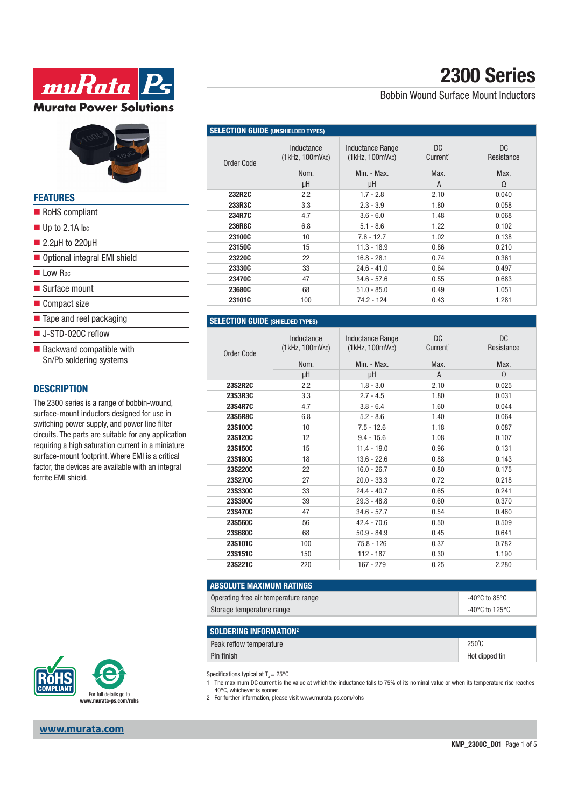



#### **FEATURES**

| RoHS compliant                          |
|-----------------------------------------|
| $\blacksquare$ Up to 2.1A loc           |
| $\blacksquare$ 2.2µH to 220µH           |
| ■ Optional integral EMI shield          |
| $\blacksquare$ I ow R <sub>pc</sub>     |
| $\blacksquare$ Surface mount            |
| ■ Compact size                          |
| $\blacksquare$ Tape and reel packaging  |
| $\blacksquare$ J-STD-020C reflow        |
| $\blacksquare$ Backward compatible with |
| Sn/Pb soldering systems                 |
|                                         |

#### **DESCRIPTION**

The 2300 series is a range of bobbin-wound, surface-mount inductors designed for use in switching power supply, and power line filter circuits. The parts are suitable for any application requiring a high saturation current in a miniature surface-mount footprint. Where EMI is a critical factor, the devices are available with an integral ferrite EMI shield.



**www.murata.com**

# **2300 Series**

### Bobbin Wound Surface Mount Inductors

| <b>SELECTION GUIDE (UNSHIELDED TYPES)</b> |                               |                                            |                             |                   |  |
|-------------------------------------------|-------------------------------|--------------------------------------------|-----------------------------|-------------------|--|
| Order Code                                | Inductance<br>(1kHz, 100mVAc) | <b>Inductance Range</b><br>(1kHz, 100mVAC) | DC.<br>Current <sup>1</sup> | DC.<br>Resistance |  |
|                                           | Nom.                          | Min. - Max.                                | Max.                        | Max.              |  |
|                                           | μH                            | μH                                         | A                           | $\Omega$          |  |
| 232R2C                                    | 2.2                           | $1.7 - 2.8$                                | 2.10                        | 0.040             |  |
| 233R3C                                    | 3.3                           | $2.3 - 3.9$                                | 1.80                        | 0.058             |  |
| 234R7C                                    | 4.7                           | $3.6 - 6.0$                                | 1.48                        | 0.068             |  |
| 236R8C                                    | 6.8                           | $5.1 - 8.6$                                | 1.22                        | 0.102             |  |
| 23100C                                    | 10                            | $7.6 - 12.7$                               | 1.02                        | 0.138             |  |
| 23150C                                    | 15                            | $11.3 - 18.9$                              | 0.86                        | 0.210             |  |
| <b>23220C</b>                             | 22                            | $16.8 - 28.1$                              | 0.74                        | 0.361             |  |
| 23330C                                    | 33                            | $24.6 - 41.0$                              | 0.64                        | 0.497             |  |
| 23470C                                    | 47                            | $34.6 - 57.6$                              | 0.55                        | 0.683             |  |
| 23680C                                    | 68                            | $51.0 - 85.0$                              | 0.49                        | 1.051             |  |
| 23101C                                    | 100                           | 74.2 - 124                                 | 0.43                        | 1.281             |  |

#### **SELECTION GUIDE (SHIELDED TYPES)**

| Order Code     | Inductance<br>$(1$ kHz, $100$ mV <sub>AC</sub> )<br>Nom.<br>μH | <b>Inductance Range</b><br>(1kHz, 100mVAC)<br>Min. - Max.<br>μH | DC.<br>Current <sup>1</sup><br>Max.<br>A | <b>DC</b><br>Resistance<br>Max.<br>$\Omega$ |
|----------------|----------------------------------------------------------------|-----------------------------------------------------------------|------------------------------------------|---------------------------------------------|
|                |                                                                |                                                                 |                                          |                                             |
| 23S2R2C        | 2.2                                                            | $1.8 - 3.0$                                                     | 2.10                                     | 0.025                                       |
| 23S3R3C        | 3.3                                                            | $2.7 - 4.5$                                                     | 1.80                                     | 0.031                                       |
| 23S4R7C        | 4.7                                                            | $3.8 - 6.4$                                                     | 1.60                                     | 0.044                                       |
| <b>23S6R8C</b> | 6.8                                                            | $5.2 - 8.6$                                                     | 1.40                                     | 0.064                                       |
| 23S100C        | 10                                                             | $7.5 - 12.6$                                                    | 1.18                                     | 0.087                                       |
| 23S120C        | 12                                                             | $9.4 - 15.6$                                                    | 1.08                                     | 0.107                                       |
| 23S150C        | 15                                                             | $11.4 - 19.0$                                                   | 0.96                                     | 0.131                                       |
| 23S180C        | 18                                                             | $13.6 - 22.6$                                                   | 0.88                                     | 0.143                                       |
| 23S220C        | 22                                                             | $16.0 - 26.7$                                                   | 0.80                                     | 0.175                                       |
| 23S270C        | 27                                                             | $20.0 - 33.3$                                                   | 0.72                                     | 0.218                                       |
| 23S330C        | 33                                                             | $24.4 - 40.7$                                                   | 0.65                                     | 0.241                                       |
| 23S390C        | 39                                                             | $29.3 - 48.8$                                                   | 0.60                                     | 0.370                                       |
| 23S470C        | 47                                                             | $34.6 - 57.7$                                                   | 0.54                                     | 0.460                                       |
| 23S560C        | 56                                                             | $42.4 - 70.6$                                                   | 0.50                                     | 0.509                                       |
| 23S680C        | 68                                                             | $50.9 - 84.9$                                                   | 0.45                                     | 0.641                                       |
| 23S101C        | 100                                                            | $75.8 - 126$                                                    | 0.37                                     | 0.782                                       |
| 23S151C        | 150                                                            | $112 - 187$                                                     | 0.30                                     | 1.190                                       |
| 23S221C        | 220                                                            | 167 - 279                                                       | 0.25                                     | 2.280                                       |

| <b>ABSOLUTE MAXIMUM RATINGS</b>      |                |
|--------------------------------------|----------------|
| Operating free air temperature range | -40°C to 85°C  |
| Storage temperature range            | -40°C to 125°C |

| <b>SOLDERING INFORMATION<sup>2</sup></b> |                 |
|------------------------------------------|-----------------|
| Peak reflow temperature                  | $250^{\circ}$ C |
| Pin finish                               | Hot dipped tin  |

Specifications typical at  $T_A = 25^{\circ}C$ 

1 The maximum DC current is the value at which the inductance falls to 75% of its nominal value or when its temperature rise reaches 40°C, whichever is sooner.

2 For further information, please visit www.murata-ps.com/rohs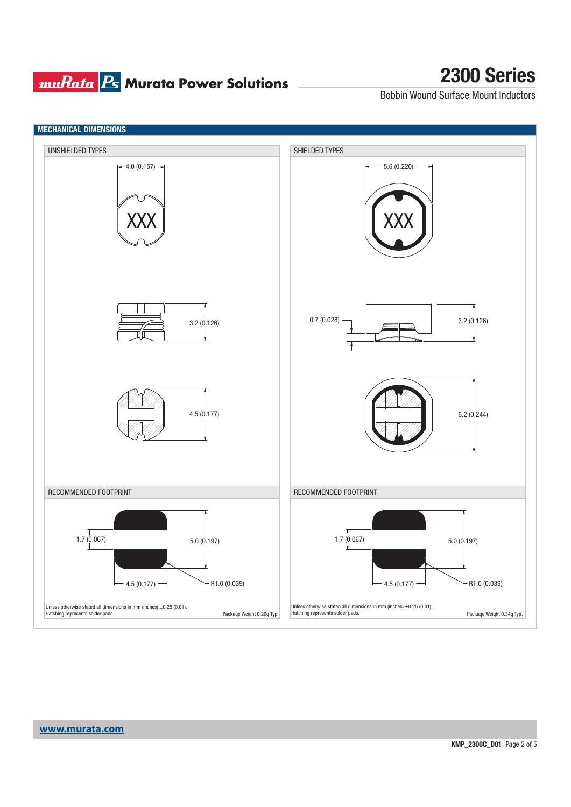### **muRata B** Murata Power Solutions

## **2300 Series**

Bobbin Wound Surface Mount Inductors

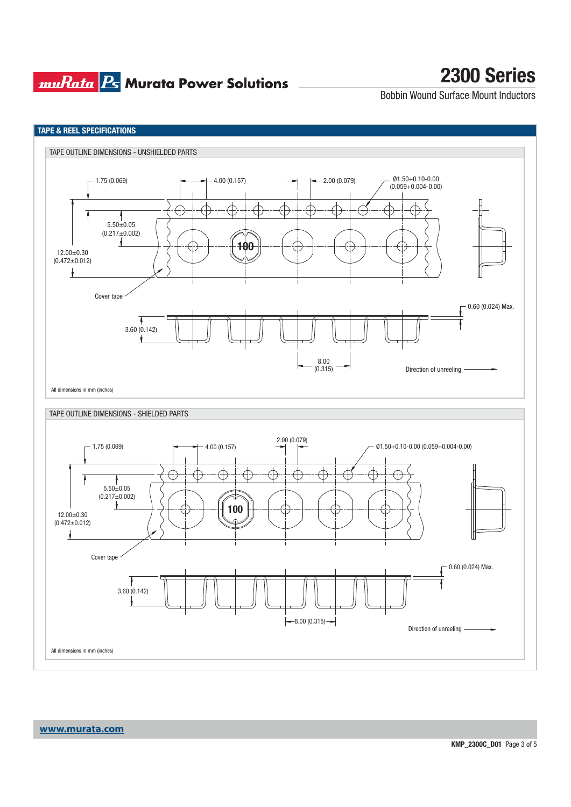### **muRata Ps** Murata Power Solutions

## **2300 Series**

Bobbin Wound Surface Mount Inductors



**www.murata.com**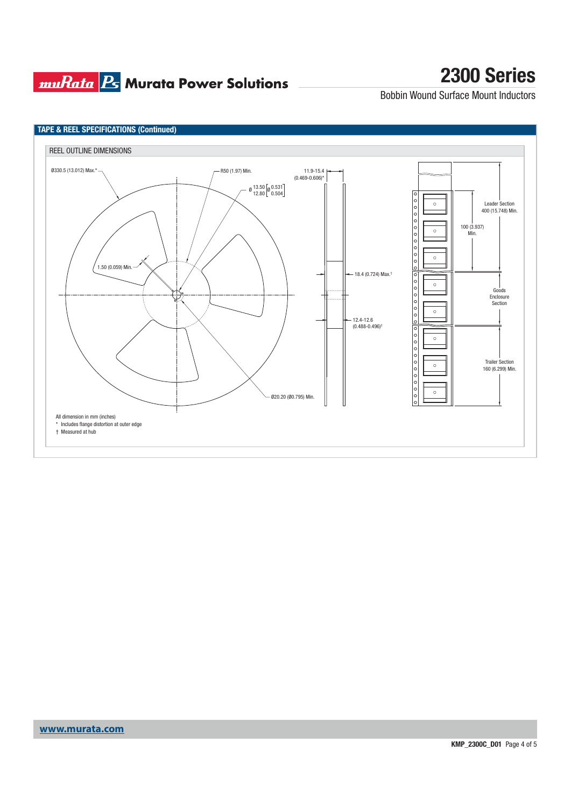## **muRata Ps** Murata Power Solutions

# **2300 Series**

Bobbin Wound Surface Mount Inductors